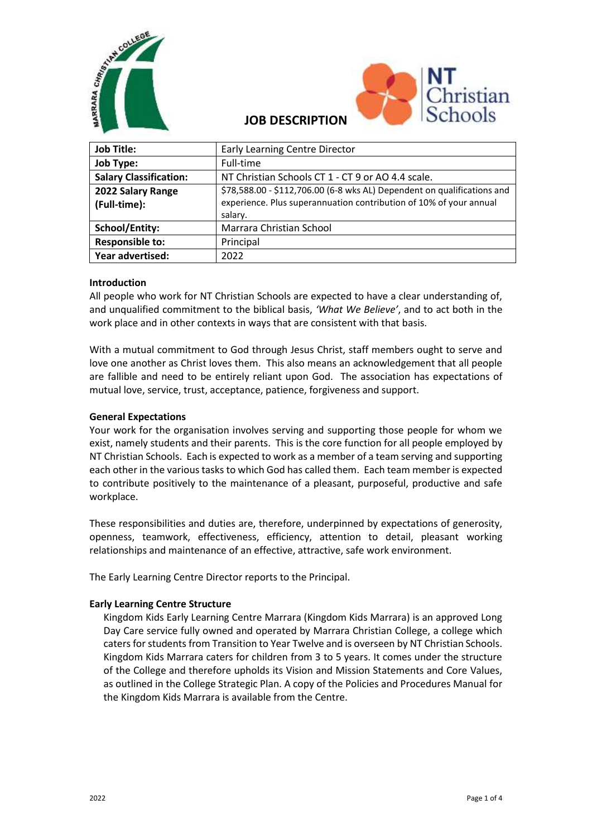



# **JOB DESCRIPTION**

| <b>Job Title:</b>             | <b>Early Learning Centre Director</b>                                   |
|-------------------------------|-------------------------------------------------------------------------|
| <b>Job Type:</b>              | Full-time                                                               |
| <b>Salary Classification:</b> | NT Christian Schools CT 1 - CT 9 or AO 4.4 scale.                       |
| 2022 Salary Range             | \$78,588.00 - \$112,706.00 (6-8 wks AL) Dependent on qualifications and |
| (Full-time):                  | experience. Plus superannuation contribution of 10% of your annual      |
|                               | salary.                                                                 |
| <b>School/Entity:</b>         | Marrara Christian School                                                |
| <b>Responsible to:</b>        | Principal                                                               |
| Year advertised:              | 2022                                                                    |

#### **Introduction**

All people who work for NT Christian Schools are expected to have a clear understanding of, and unqualified commitment to the biblical basis, *'What We Believe'*, and to act both in the work place and in other contexts in ways that are consistent with that basis.

With a mutual commitment to God through Jesus Christ, staff members ought to serve and love one another as Christ loves them. This also means an acknowledgement that all people are fallible and need to be entirely reliant upon God. The association has expectations of mutual love, service, trust, acceptance, patience, forgiveness and support.

### **General Expectations**

Your work for the organisation involves serving and supporting those people for whom we exist, namely students and their parents. This is the core function for all people employed by NT Christian Schools. Each is expected to work as a member of a team serving and supporting each other in the various tasks to which God has called them. Each team member is expected to contribute positively to the maintenance of a pleasant, purposeful, productive and safe workplace.

These responsibilities and duties are, therefore, underpinned by expectations of generosity, openness, teamwork, effectiveness, efficiency, attention to detail, pleasant working relationships and maintenance of an effective, attractive, safe work environment.

The Early Learning Centre Director reports to the Principal.

#### **Early Learning Centre Structure**

Kingdom Kids Early Learning Centre Marrara (Kingdom Kids Marrara) is an approved Long Day Care service fully owned and operated by Marrara Christian College, a college which caters for students from Transition to Year Twelve and is overseen by NT Christian Schools. Kingdom Kids Marrara caters for children from 3 to 5 years. It comes under the structure of the College and therefore upholds its Vision and Mission Statements and Core Values, as outlined in the College Strategic Plan. A copy of the Policies and Procedures Manual for the Kingdom Kids Marrara is available from the Centre.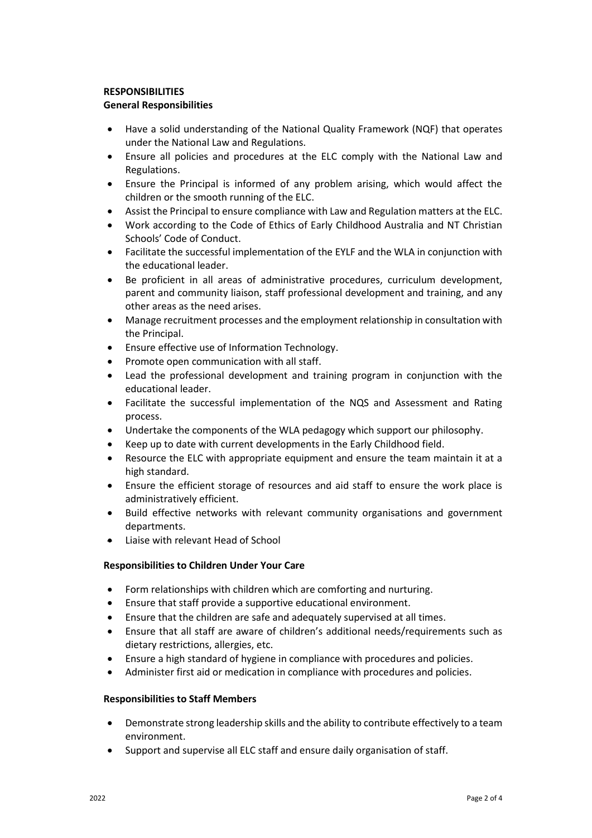## **RESPONSIBILITIES**

## **General Responsibilities**

- Have a solid understanding of the National Quality Framework (NQF) that operates under the National Law and Regulations.
- Ensure all policies and procedures at the ELC comply with the National Law and Regulations.
- Ensure the Principal is informed of any problem arising, which would affect the children or the smooth running of the ELC.
- Assist the Principal to ensure compliance with Law and Regulation matters at the ELC.
- Work according to the Code of Ethics of Early Childhood Australia and NT Christian Schools' Code of Conduct.
- Facilitate the successful implementation of the EYLF and the WLA in conjunction with the educational leader.
- Be proficient in all areas of administrative procedures, curriculum development, parent and community liaison, staff professional development and training, and any other areas as the need arises.
- Manage recruitment processes and the employment relationship in consultation with the Principal.
- Ensure effective use of Information Technology.
- Promote open communication with all staff.
- Lead the professional development and training program in conjunction with the educational leader.
- Facilitate the successful implementation of the NQS and Assessment and Rating process.
- Undertake the components of the WLA pedagogy which support our philosophy.
- Keep up to date with current developments in the Early Childhood field.
- Resource the ELC with appropriate equipment and ensure the team maintain it at a high standard.
- Ensure the efficient storage of resources and aid staff to ensure the work place is administratively efficient.
- Build effective networks with relevant community organisations and government departments.
- Liaise with relevant Head of School

## **Responsibilities to Children Under Your Care**

- Form relationships with children which are comforting and nurturing.
- Ensure that staff provide a supportive educational environment.
- Ensure that the children are safe and adequately supervised at all times.
- Ensure that all staff are aware of children's additional needs/requirements such as dietary restrictions, allergies, etc.
- Ensure a high standard of hygiene in compliance with procedures and policies.
- Administer first aid or medication in compliance with procedures and policies.

#### **Responsibilities to Staff Members**

- Demonstrate strong leadership skills and the ability to contribute effectively to a team environment.
- Support and supervise all ELC staff and ensure daily organisation of staff.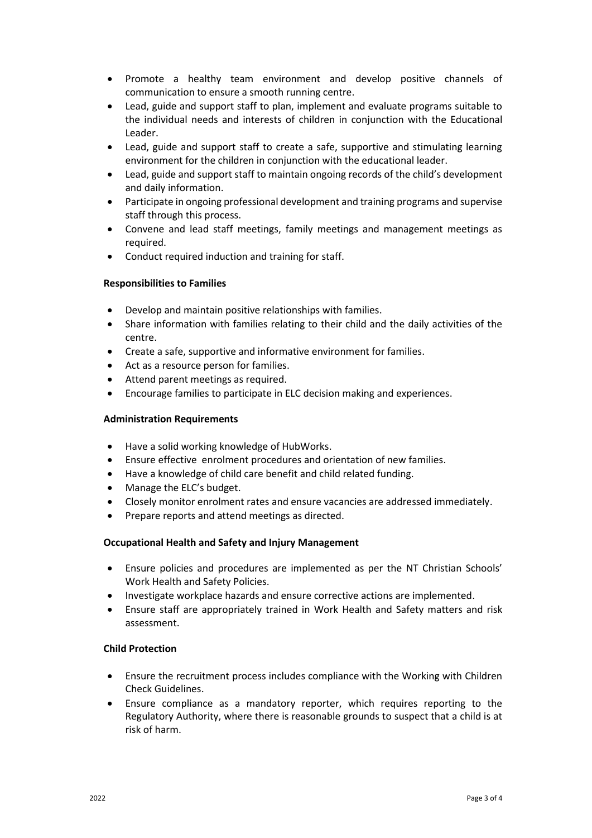- Promote a healthy team environment and develop positive channels of communication to ensure a smooth running centre.
- Lead, guide and support staff to plan, implement and evaluate programs suitable to the individual needs and interests of children in conjunction with the Educational Leader.
- Lead, guide and support staff to create a safe, supportive and stimulating learning environment for the children in conjunction with the educational leader.
- Lead, guide and support staff to maintain ongoing records of the child's development and daily information.
- Participate in ongoing professional development and training programs and supervise staff through this process.
- Convene and lead staff meetings, family meetings and management meetings as required.
- Conduct required induction and training for staff.

#### **Responsibilities to Families**

- Develop and maintain positive relationships with families.
- Share information with families relating to their child and the daily activities of the centre.
- Create a safe, supportive and informative environment for families.
- Act as a resource person for families.
- Attend parent meetings as required.
- Encourage families to participate in ELC decision making and experiences.

#### **Administration Requirements**

- Have a solid working knowledge of HubWorks.
- Ensure effective enrolment procedures and orientation of new families.
- Have a knowledge of child care benefit and child related funding.
- Manage the ELC's budget.
- Closely monitor enrolment rates and ensure vacancies are addressed immediately.
- Prepare reports and attend meetings as directed.

#### **Occupational Health and Safety and Injury Management**

- Ensure policies and procedures are implemented as per the NT Christian Schools' Work Health and Safety Policies.
- Investigate workplace hazards and ensure corrective actions are implemented.
- Ensure staff are appropriately trained in Work Health and Safety matters and risk assessment.

#### **Child Protection**

- Ensure the recruitment process includes compliance with the Working with Children Check Guidelines.
- Ensure compliance as a mandatory reporter, which requires reporting to the Regulatory Authority, where there is reasonable grounds to suspect that a child is at risk of harm.